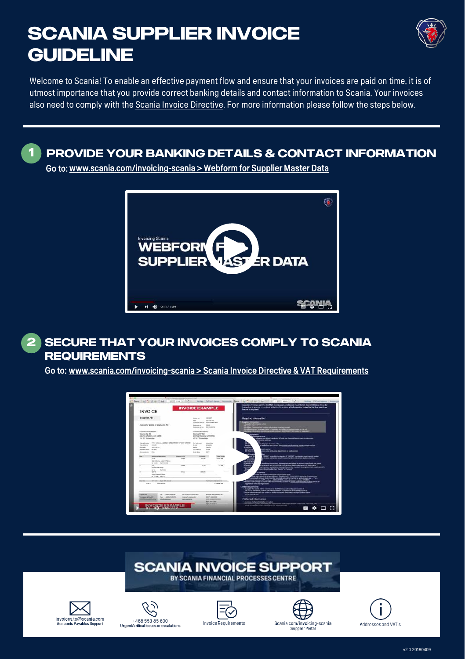## **SCANIA SUPPLIER INVOICE GUIDELINE**



Welcome to Scania! To enable an effective payment flow and ensure that your invoices are paid on time, it is of utmost importance that you provide correct banking details and contact information to Scania. Your invoices also need to comply with the [Scania Invoice Directive.](https://supplier.scania.com/wps/portal/Home/Invoicing-Scania/How-to-Invoice-Scania/Scania-Invoice-Directive/!ut/p/a1/1VRNc5swEP0rvfTo0UooSDlCkhqwSRpcTW0uGYJTUIz4sEXt5NcXGOdQZyySmV6qm_Te293Z3ScUoyWKy-S3zBItqzIp-ntsPwRAOMaU-BwYgPNDsHvKIuAe6wirjgBnjgOD_mrqeJTNuwcxvQaf3bviLpxZEF4c9QZCr_ewA5hwCLgnbHC4tQDfvbCoQ0f0vn1S__zqcqifCA_jhfVWvyGBKb-wR_TCnD960xsIf-vDbz0c2rNoFpEpp-gnilGclrrWOVrV1VYnxZed1E9f4fX8WBIY4DRLcsqK7qHN1iBZ89hWamOBtAf4-ZhVcvXrEhKt7M12syUZpydwkfZwy0ibY7yz2Anc70wPN5Rtgeesr7hO5RqtssPuZa-yyaYot1WTF-v1_pC3WqVlJkudVFVetwN7t-_pMTvXKH9uvevku1aZJuHSkUm49GObZCCMOGmYZEdhhN94AeDgbhE6nYOiiFOLBhHFR4Jp2QeCyY1jforHFi4e68PKNCjiMrT45AIYA3pdW_5pQMI-HzD4wC8pn5smdjqvVqV-Omi0_E_MWisxHMUtNRFiCdKX35V6uL2dJI_8Zf8HzC0YvQ!!/dl5/d5/L2dBISEvZ0FBIS9nQSEh/) For more information please follow the steps below.

**PROVIDE YOUR BANKING DETAILS & CONTACT INFORMATION**

Go to: [www.scania.com/invoicing-scania > Webform](https://supplier.scania.com/wps/portal/Home/Invoicing-Scania/Webform-for-Supplier-Master-Data/!ut/p/a1/jZJLj8IgFIV_Ui8P4brEOhaoxEiH2GFjujJNfMxiMr9_sKkbjTDsIN_JuZx7qlj1VbwOv-Np-Blv1-F8v0dxtECREE4NggRQn0HuufRNW8sEfCUA3hwFk75ulOZymx5CswYj96uwcy0Dt5j1GeCu10QBoQgWdRCgkHVgVgvGFS_ojXia322WaX4nWt962uBDnzHI-QdR0Idn_229nPKjQRPSsUd-GeB9_oD6Vf8C5Py9KPj7f-aXAQr9OVRxQiTFD22B2F3nVOqN98gZt56TGciteAJyHSy1KJa-GUt7_L6E-fQwmtH8AevQZ20!/dl5/d5/L2dBISEvZ0FBIS9nQSEh/) for Supplier Master Data



## **SECURE THAT YOUR INVOICES COMPLY TO SCANIA REQUIREMENTS 2**

Go to: [www.scania.com/invoicing-scania > Scania Invoice Directive](https://supplier.scania.com/wps/portal/Home/Invoicing-Scania/How-to-Invoice-Scania/Scania-Invoice-Directive/!ut/p/a1/lZHRDoIgFIafpSfggCR4SVaKypwYy7hpXjm3si5azx8xu6iWrnMH-779hx9kUYPs0N77rr31l6E9Pc82PGZAOMaUSA4MQOwMqyjTwFPmgIMD4McI8H6ciJSywl2YZA2SVStTqjwAtRz9CeA9X20jl6_CXOeaJJzO-DL88Is48vsTk2JcB6_9JwL-9L-Amf72yHqEEb5JM8BZWSvhetOa04BmmuIRmHqiB6b-YK7F69m4aaCX3eIBhpgf6Q!!/dl5/d5/L2dBISEvZ0FBIS9nQSEh/) & VAT Requirements







**1**











v2.0 20190409